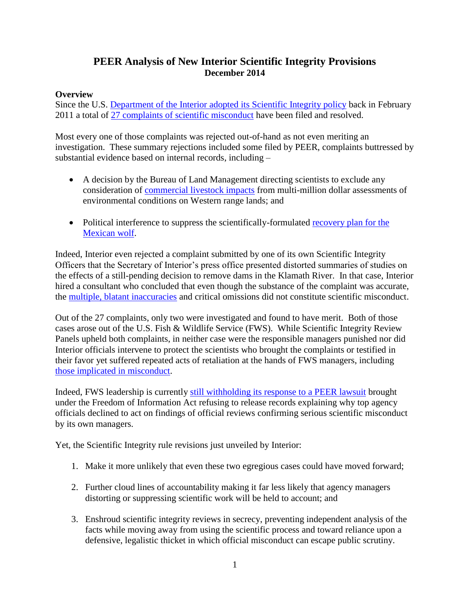# **PEER Analysis of New Interior Scientific Integrity Provisions December 2014**

### **Overview**

Since the U.S. [Department of the Interior adopted its Scientific Integrity policy](http://www.peer.org/news/news-releases/2011/02/01/interior-first-out-of-the-gate-with-science-integrity-rules--/) back in February 2011 a total of [27 complaints of scientific misconduct](http://www.doi.gov/scientificintegrity/closed-cases.cfm) have been filed and resolved.

Most every one of those complaints was rejected out-of-hand as not even meriting an investigation. These summary rejections included some filed by PEER, complaints buttressed by substantial evidence based on internal records, including –

- A decision by the Bureau of Land Management directing scientists to exclude any consideration of [commercial livestock impacts](http://www.peer.org/news/news-releases/2013/01/24/blm-says-it-cannot-track-cattle-on-its-lands/) from multi-million dollar assessments of environmental conditions on Western range lands; and
- Political interference to suppress the scientifically-formulated recovery plan for the [Mexican wolf.](http://www.peer.org/news/news-releases/2012/09/27/fish-and-wildlife-service-acquits-itself-on-mexican-wolf-science/)

Indeed, Interior even rejected a complaint submitted by one of its own Scientific Integrity Officers that the Secretary of Interior's press office presented distorted summaries of studies on the effects of a still-pending decision to remove dams in the Klamath River. In that case, Interior hired a consultant who concluded that even though the substance of the complaint was accurate, the [multiple, blatant inaccuracies](http://www.peer.org/news/news-releases/2013/03/25/interior-denies-spinning-klamath-science/) and critical omissions did not constitute scientific misconduct.

Out of the 27 complaints, only two were investigated and found to have merit. Both of those cases arose out of the U.S. Fish & Wildlife Service (FWS). While Scientific Integrity Review Panels upheld both complaints, in neither case were the responsible managers punished nor did Interior officials intervene to protect the scientists who brought the complaints or testified in their favor yet suffered repeated acts of retaliation at the hands of FWS managers, including [those implicated in misconduct.](http://www.peer.org/news/news-releases/2014/04/21/federal-managers-nailed-for-aiding-polluter/)

Indeed, FWS leadership is currently still withholding its [response to a PEER lawsuit](http://www.peer.org/news/news-releases/2014/07/08/fish-and-wildlife-service-sued-over-scientific-fraud-documents/) brought under the Freedom of Information Act refusing to release records explaining why top agency officials declined to act on findings of official reviews confirming serious scientific misconduct by its own managers.

Yet, the Scientific Integrity rule revisions just unveiled by Interior:

- 1. Make it more unlikely that even these two egregious cases could have moved forward;
- 2. Further cloud lines of accountability making it far less likely that agency managers distorting or suppressing scientific work will be held to account; and
- 3. Enshroud scientific integrity reviews in secrecy, preventing independent analysis of the facts while moving away from using the scientific process and toward reliance upon a defensive, legalistic thicket in which official misconduct can escape public scrutiny.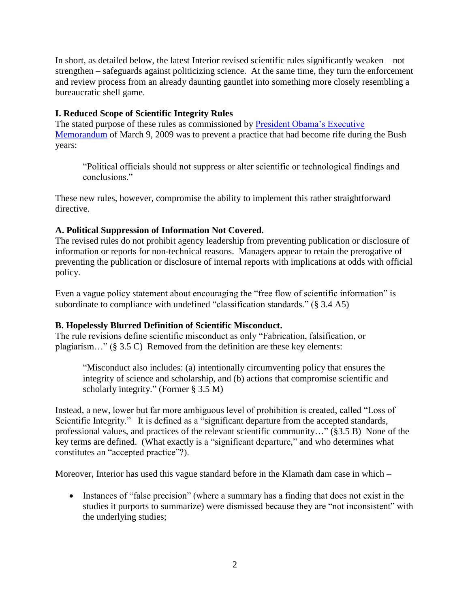In short, as detailed below, the latest Interior revised scientific rules significantly weaken – not strengthen – safeguards against politicizing science. At the same time, they turn the enforcement and review process from an already daunting gauntlet into something more closely resembling a bureaucratic shell game.

### **I. Reduced Scope of Scientific Integrity Rules**

The stated purpose of these rules as commissioned by [President Obama's Executive](http://www.peer.org/assets/docs/dc/09_12_05_obama_science_integrity_memo.pdf)  [Memorandum](http://www.peer.org/assets/docs/dc/09_12_05_obama_science_integrity_memo.pdf) of March 9, 2009 was to prevent a practice that had become rife during the Bush years:

"Political officials should not suppress or alter scientific or technological findings and conclusions."

These new rules, however, compromise the ability to implement this rather straightforward directive.

## **A. Political Suppression of Information Not Covered.**

The revised rules do not prohibit agency leadership from preventing publication or disclosure of information or reports for non-technical reasons. Managers appear to retain the prerogative of preventing the publication or disclosure of internal reports with implications at odds with official policy.

Even a vague policy statement about encouraging the "free flow of scientific information" is subordinate to compliance with undefined "classification standards." (§ 3.4 A5)

## **B. Hopelessly Blurred Definition of Scientific Misconduct.**

The rule revisions define scientific misconduct as only "Fabrication, falsification, or plagiarism…" (§ 3.5 C) Removed from the definition are these key elements:

"Misconduct also includes: (a) intentionally circumventing policy that ensures the integrity of science and scholarship, and (b) actions that compromise scientific and scholarly integrity." (Former § 3.5 M)

Instead, a new, lower but far more ambiguous level of prohibition is created, called "Loss of Scientific Integrity." It is defined as a "significant departure from the accepted standards, professional values, and practices of the relevant scientific community…" (§3.5 B) None of the key terms are defined. (What exactly is a "significant departure," and who determines what constitutes an "accepted practice"?).

Moreover, Interior has used this vague standard before in the Klamath dam case in which –

• Instances of "false precision" (where a summary has a finding that does not exist in the studies it purports to summarize) were dismissed because they are "not inconsistent" with the underlying studies;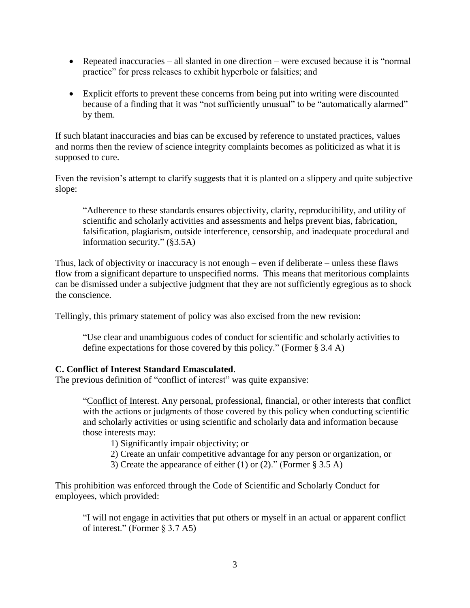- Repeated inaccuracies all slanted in one direction were excused because it is "normal practice" for press releases to exhibit hyperbole or falsities; and
- Explicit efforts to prevent these concerns from being put into writing were discounted because of a finding that it was "not sufficiently unusual" to be "automatically alarmed" by them.

If such blatant inaccuracies and bias can be excused by reference to unstated practices, values and norms then the review of science integrity complaints becomes as politicized as what it is supposed to cure.

Even the revision's attempt to clarify suggests that it is planted on a slippery and quite subjective slope:

"Adherence to these standards ensures objectivity, clarity, reproducibility, and utility of scientific and scholarly activities and assessments and helps prevent bias, fabrication, falsification, plagiarism, outside interference, censorship, and inadequate procedural and information security." (§3.5A)

Thus, lack of objectivity or inaccuracy is not enough – even if deliberate – unless these flaws flow from a significant departure to unspecified norms. This means that meritorious complaints can be dismissed under a subjective judgment that they are not sufficiently egregious as to shock the conscience.

Tellingly, this primary statement of policy was also excised from the new revision:

"Use clear and unambiguous codes of conduct for scientific and scholarly activities to define expectations for those covered by this policy." (Former § 3.4 A)

#### **C. Conflict of Interest Standard Emasculated**.

The previous definition of "conflict of interest" was quite expansive:

"Conflict of Interest. Any personal, professional, financial, or other interests that conflict with the actions or judgments of those covered by this policy when conducting scientific and scholarly activities or using scientific and scholarly data and information because those interests may:

1) Significantly impair objectivity; or

2) Create an unfair competitive advantage for any person or organization, or

3) Create the appearance of either (1) or (2)." (Former § 3.5 A)

This prohibition was enforced through the Code of Scientific and Scholarly Conduct for employees, which provided:

"I will not engage in activities that put others or myself in an actual or apparent conflict of interest." (Former § 3.7 A5)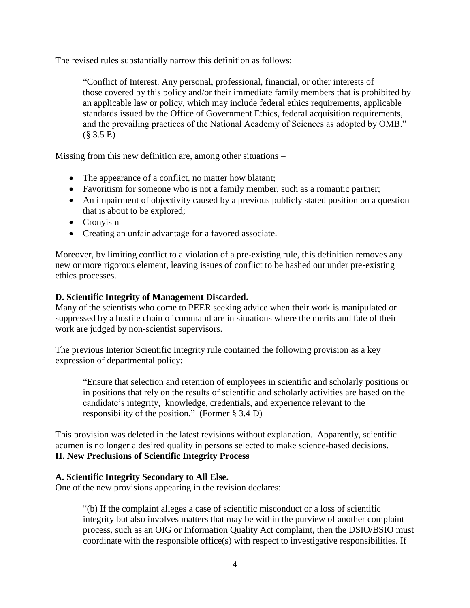The revised rules substantially narrow this definition as follows:

"Conflict of Interest. Any personal, professional, financial, or other interests of those covered by this policy and/or their immediate family members that is prohibited by an applicable law or policy, which may include federal ethics requirements, applicable standards issued by the Office of Government Ethics, federal acquisition requirements, and the prevailing practices of the National Academy of Sciences as adopted by OMB."  $(§ 3.5 E)$ 

Missing from this new definition are, among other situations –

- The appearance of a conflict, no matter how blatant;
- Favoritism for someone who is not a family member, such as a romantic partner;
- An impairment of objectivity caused by a previous publicly stated position on a question that is about to be explored;
- Cronyism
- Creating an unfair advantage for a favored associate.

Moreover, by limiting conflict to a violation of a pre-existing rule, this definition removes any new or more rigorous element, leaving issues of conflict to be hashed out under pre-existing ethics processes.

### **D. Scientific Integrity of Management Discarded.**

Many of the scientists who come to PEER seeking advice when their work is manipulated or suppressed by a hostile chain of command are in situations where the merits and fate of their work are judged by non-scientist supervisors.

The previous Interior Scientific Integrity rule contained the following provision as a key expression of departmental policy:

"Ensure that selection and retention of employees in scientific and scholarly positions or in positions that rely on the results of scientific and scholarly activities are based on the candidate's integrity, knowledge, credentials, and experience relevant to the responsibility of the position." (Former § 3.4 D)

This provision was deleted in the latest revisions without explanation. Apparently, scientific acumen is no longer a desired quality in persons selected to make science-based decisions. **II. New Preclusions of Scientific Integrity Process**

### **A. Scientific Integrity Secondary to All Else.**

One of the new provisions appearing in the revision declares:

"(b) If the complaint alleges a case of scientific misconduct or a loss of scientific integrity but also involves matters that may be within the purview of another complaint process, such as an OIG or Information Quality Act complaint, then the DSIO/BSIO must coordinate with the responsible office(s) with respect to investigative responsibilities. If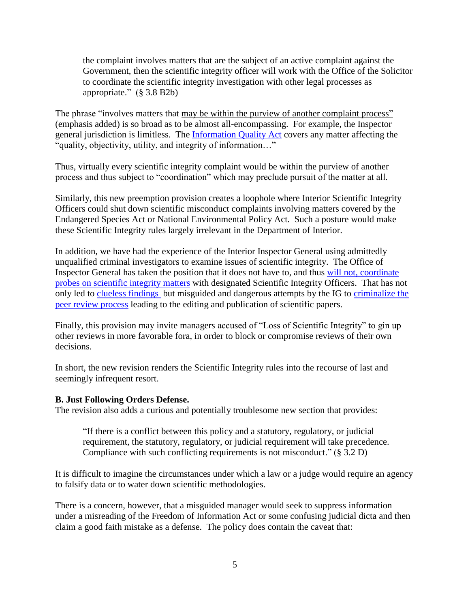the complaint involves matters that are the subject of an active complaint against the Government, then the scientific integrity officer will work with the Office of the Solicitor to coordinate the scientific integrity investigation with other legal processes as appropriate." (§ 3.8 B2b)

The phrase "involves matters that may be within the purview of another complaint process" (emphasis added) is so broad as to be almost all-encompassing. For example, the Inspector general jurisdiction is limitless. The [Information Quality Act](http://www.gpo.gov/fdsys/pkg/FR-2001-09-28/pdf/01-24172.pdf) covers any matter affecting the "quality, objectivity, utility, and integrity of information…"

Thus, virtually every scientific integrity complaint would be within the purview of another process and thus subject to "coordination" which may preclude pursuit of the matter at all.

Similarly, this new preemption provision creates a loophole where Interior Scientific Integrity Officers could shut down scientific misconduct complaints involving matters covered by the Endangered Species Act or National Environmental Policy Act. Such a posture would make these Scientific Integrity rules largely irrelevant in the Department of Interior.

In addition, we have had the experience of the Interior Inspector General using admittedly unqualified criminal investigators to examine issues of scientific integrity. The Office of Inspector General has taken the position that it does not have to, and thus [will not, coordinate](http://www.peer.org/assets/docs/doi/2_14_13_IG_exempt_from_sci_integrity.pdf)  [probes on scientific integrity matters](http://www.peer.org/assets/docs/doi/2_14_13_IG_exempt_from_sci_integrity.pdf) with designated Scientific Integrity Officers. That has not only led to [clueless findings](http://www.peer.org/news/news-releases/2013/02/14/drowned-polar-bear-paper-vindicated-%E2%80%93-again/) but misguided and dangerous attempts by the IG to criminalize the [peer review process](http://www.peer.org/news/news-releases/2013/01/29/ig-repeatedly-tried-to-criminally-prosecute-arctic-scientist/) leading to the editing and publication of scientific papers.

Finally, this provision may invite managers accused of "Loss of Scientific Integrity" to gin up other reviews in more favorable fora, in order to block or compromise reviews of their own decisions.

In short, the new revision renders the Scientific Integrity rules into the recourse of last and seemingly infrequent resort.

#### **B. Just Following Orders Defense.**

The revision also adds a curious and potentially troublesome new section that provides:

"If there is a conflict between this policy and a statutory, regulatory, or judicial requirement, the statutory, regulatory, or judicial requirement will take precedence. Compliance with such conflicting requirements is not misconduct." (§ 3.2 D)

It is difficult to imagine the circumstances under which a law or a judge would require an agency to falsify data or to water down scientific methodologies.

There is a concern, however, that a misguided manager would seek to suppress information under a misreading of the Freedom of Information Act or some confusing judicial dicta and then claim a good faith mistake as a defense. The policy does contain the caveat that: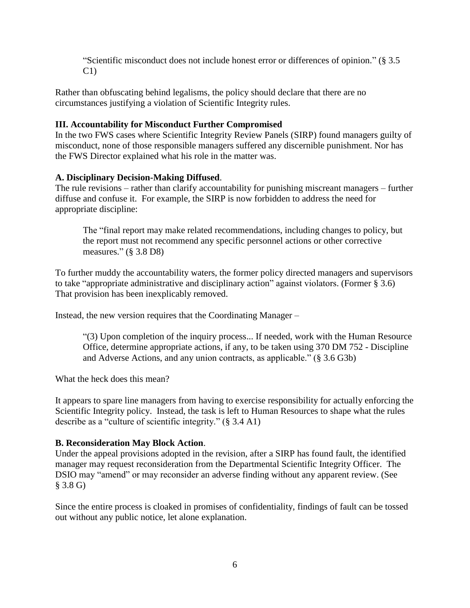"Scientific misconduct does not include honest error or differences of opinion." (§ 3.5  $C1$ 

Rather than obfuscating behind legalisms, the policy should declare that there are no circumstances justifying a violation of Scientific Integrity rules.

### **III. Accountability for Misconduct Further Compromised**

In the two FWS cases where Scientific Integrity Review Panels (SIRP) found managers guilty of misconduct, none of those responsible managers suffered any discernible punishment. Nor has the FWS Director explained what his role in the matter was.

### **A. Disciplinary Decision-Making Diffused**.

The rule revisions – rather than clarify accountability for punishing miscreant managers – further diffuse and confuse it. For example, the SIRP is now forbidden to address the need for appropriate discipline:

The "final report may make related recommendations, including changes to policy, but the report must not recommend any specific personnel actions or other corrective measures." (§ 3.8 D8)

To further muddy the accountability waters, the former policy directed managers and supervisors to take "appropriate administrative and disciplinary action" against violators. (Former § 3.6) That provision has been inexplicably removed.

Instead, the new version requires that the Coordinating Manager –

"(3) Upon completion of the inquiry process... If needed, work with the Human Resource Office, determine appropriate actions, if any, to be taken using 370 DM 752 - Discipline and Adverse Actions, and any union contracts, as applicable." (§ 3.6 G3b)

What the heck does this mean?

It appears to spare line managers from having to exercise responsibility for actually enforcing the Scientific Integrity policy. Instead, the task is left to Human Resources to shape what the rules describe as a "culture of scientific integrity." (§ 3.4 A1)

#### **B. Reconsideration May Block Action**.

Under the appeal provisions adopted in the revision, after a SIRP has found fault, the identified manager may request reconsideration from the Departmental Scientific Integrity Officer. The DSIO may "amend" or may reconsider an adverse finding without any apparent review. (See § 3.8 G)

Since the entire process is cloaked in promises of confidentiality, findings of fault can be tossed out without any public notice, let alone explanation.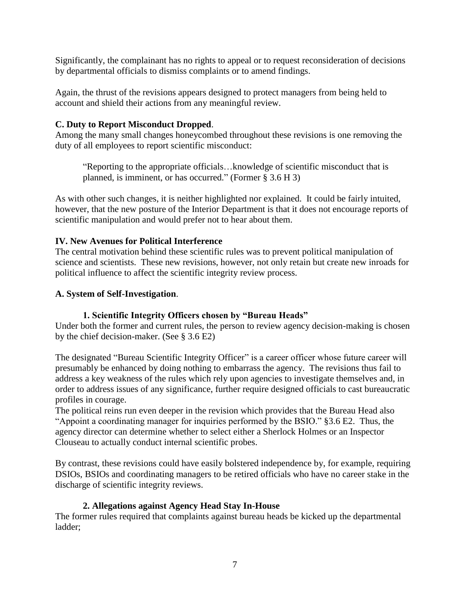Significantly, the complainant has no rights to appeal or to request reconsideration of decisions by departmental officials to dismiss complaints or to amend findings.

Again, the thrust of the revisions appears designed to protect managers from being held to account and shield their actions from any meaningful review.

### **C. Duty to Report Misconduct Dropped**.

Among the many small changes honeycombed throughout these revisions is one removing the duty of all employees to report scientific misconduct:

"Reporting to the appropriate officials…knowledge of scientific misconduct that is planned, is imminent, or has occurred." (Former § 3.6 H 3)

As with other such changes, it is neither highlighted nor explained. It could be fairly intuited, however, that the new posture of the Interior Department is that it does not encourage reports of scientific manipulation and would prefer not to hear about them.

### **IV. New Avenues for Political Interference**

The central motivation behind these scientific rules was to prevent political manipulation of science and scientists. These new revisions, however, not only retain but create new inroads for political influence to affect the scientific integrity review process.

### **A. System of Self-Investigation**.

### **1. Scientific Integrity Officers chosen by "Bureau Heads"**

Under both the former and current rules, the person to review agency decision-making is chosen by the chief decision-maker. (See § 3.6 E2)

The designated "Bureau Scientific Integrity Officer" is a career officer whose future career will presumably be enhanced by doing nothing to embarrass the agency. The revisions thus fail to address a key weakness of the rules which rely upon agencies to investigate themselves and, in order to address issues of any significance, further require designed officials to cast bureaucratic profiles in courage.

The political reins run even deeper in the revision which provides that the Bureau Head also "Appoint a coordinating manager for inquiries performed by the BSIO." §3.6 E2. Thus, the agency director can determine whether to select either a Sherlock Holmes or an Inspector Clouseau to actually conduct internal scientific probes.

By contrast, these revisions could have easily bolstered independence by, for example, requiring DSIOs, BSIOs and coordinating managers to be retired officials who have no career stake in the discharge of scientific integrity reviews.

### **2. Allegations against Agency Head Stay In-House**

The former rules required that complaints against bureau heads be kicked up the departmental ladder;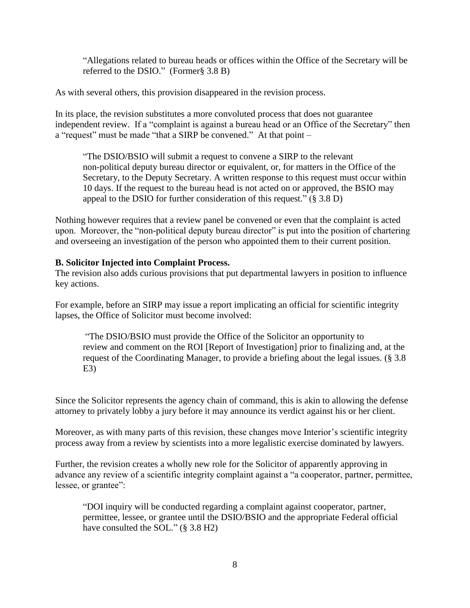"Allegations related to bureau heads or offices within the Office of the Secretary will be referred to the DSIO." (Former§ 3.8 B)

As with several others, this provision disappeared in the revision process.

In its place, the revision substitutes a more convoluted process that does not guarantee independent review. If a "complaint is against a bureau head or an Office of the Secretary" then a "request" must be made "that a SIRP be convened." At that point –

"The DSIO/BSIO will submit a request to convene a SIRP to the relevant non-political deputy bureau director or equivalent, or, for matters in the Office of the Secretary, to the Deputy Secretary. A written response to this request must occur within 10 days. If the request to the bureau head is not acted on or approved, the BSIO may appeal to the DSIO for further consideration of this request." (§ 3.8 D)

Nothing however requires that a review panel be convened or even that the complaint is acted upon. Moreover, the "non-political deputy bureau director" is put into the position of chartering and overseeing an investigation of the person who appointed them to their current position.

### **B. Solicitor Injected into Complaint Process.**

The revision also adds curious provisions that put departmental lawyers in position to influence key actions.

For example, before an SIRP may issue a report implicating an official for scientific integrity lapses, the Office of Solicitor must become involved:

"The DSIO/BSIO must provide the Office of the Solicitor an opportunity to review and comment on the ROI [Report of Investigation] prior to finalizing and, at the request of the Coordinating Manager, to provide a briefing about the legal issues. (§ 3.8  $E3$ 

Since the Solicitor represents the agency chain of command, this is akin to allowing the defense attorney to privately lobby a jury before it may announce its verdict against his or her client.

Moreover, as with many parts of this revision, these changes move Interior's scientific integrity process away from a review by scientists into a more legalistic exercise dominated by lawyers.

Further, the revision creates a wholly new role for the Solicitor of apparently approving in advance any review of a scientific integrity complaint against a "a cooperator, partner, permittee, lessee, or grantee":

"DOI inquiry will be conducted regarding a complaint against cooperator, partner, permittee, lessee, or grantee until the DSIO/BSIO and the appropriate Federal official have consulted the SOL." (§ 3.8 H2)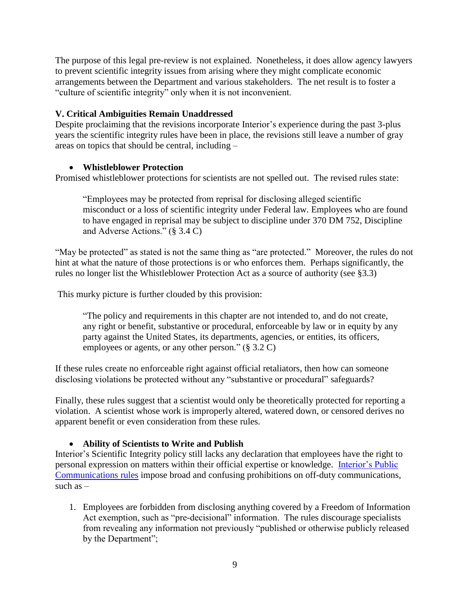The purpose of this legal pre-review is not explained. Nonetheless, it does allow agency lawyers to prevent scientific integrity issues from arising where they might complicate economic arrangements between the Department and various stakeholders. The net result is to foster a "culture of scientific integrity" only when it is not inconvenient.

### **V. Critical Ambiguities Remain Unaddressed**

Despite proclaiming that the revisions incorporate Interior's experience during the past 3-plus years the scientific integrity rules have been in place, the revisions still leave a number of gray areas on topics that should be central, including –

### **Whistleblower Protection**

Promised whistleblower protections for scientists are not spelled out. The revised rules state:

"Employees may be protected from reprisal for disclosing alleged scientific misconduct or a loss of scientific integrity under Federal law. Employees who are found to have engaged in reprisal may be subject to discipline under 370 DM 752, Discipline and Adverse Actions." (§ 3.4 C)

"May be protected" as stated is not the same thing as "are protected." Moreover, the rules do not hint at what the nature of those protections is or who enforces them. Perhaps significantly, the rules no longer list the Whistleblower Protection Act as a source of authority (see §3.3)

This murky picture is further clouded by this provision:

"The policy and requirements in this chapter are not intended to, and do not create, any right or benefit, substantive or procedural, enforceable by law or in equity by any party against the United States, its departments, agencies, or entities, its officers, employees or agents, or any other person." (§ 3.2 C)

If these rules create no enforceable right against official retaliators, then how can someone disclosing violations be protected without any "substantive or procedural" safeguards?

Finally, these rules suggest that a scientist would only be theoretically protected for reporting a violation. A scientist whose work is improperly altered, watered down, or censored derives no apparent benefit or even consideration from these rules.

#### **Ability of Scientists to Write and Publish**

Interior's Scientific Integrity policy still lacks any declaration that employees have the right to personal expression on matters within their official expertise or knowledge. [Interior's Public](http://elips.doi.gov/ELIPS/DocView.aspx?id=3037)  [Communications](http://elips.doi.gov/ELIPS/DocView.aspx?id=3037) rules impose broad and confusing prohibitions on off-duty communications, such as  $-$ 

1. Employees are forbidden from disclosing anything covered by a Freedom of Information Act exemption, such as "pre-decisional" information. The rules discourage specialists from revealing any information not previously "published or otherwise publicly released by the Department";